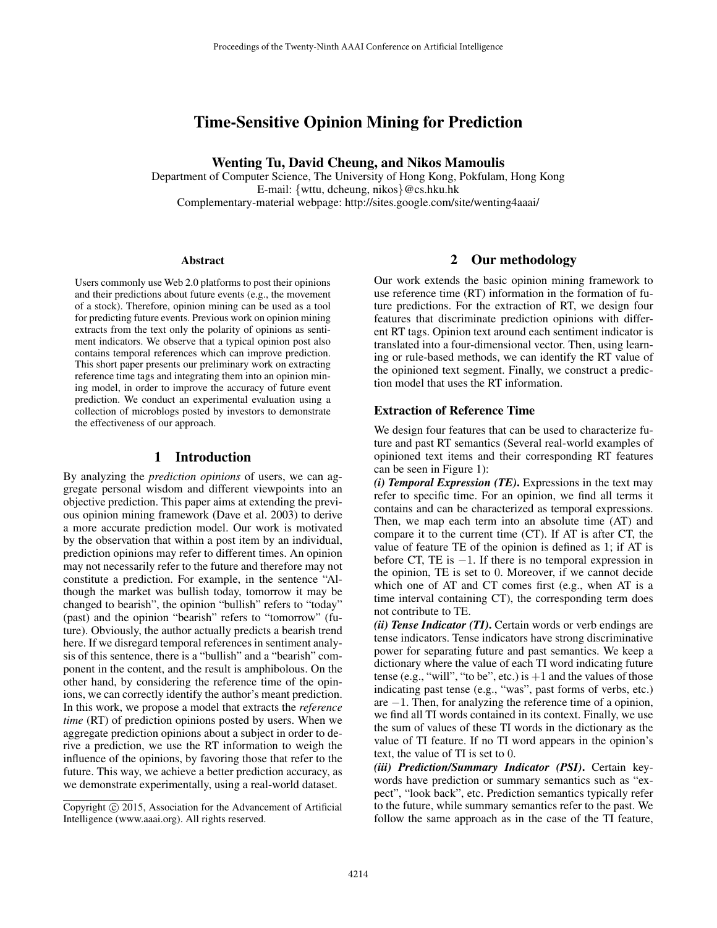# Time-Sensitive Opinion Mining for Prediction

Wenting Tu, David Cheung, and Nikos Mamoulis

Department of Computer Science, The University of Hong Kong, Pokfulam, Hong Kong E-mail: {wttu, dcheung, nikos}@cs.hku.hk Complementary-material webpage: http://sites.google.com/site/wenting4aaai/

#### Abstract

Users commonly use Web 2.0 platforms to post their opinions and their predictions about future events (e.g., the movement of a stock). Therefore, opinion mining can be used as a tool for predicting future events. Previous work on opinion mining extracts from the text only the polarity of opinions as sentiment indicators. We observe that a typical opinion post also contains temporal references which can improve prediction. This short paper presents our preliminary work on extracting reference time tags and integrating them into an opinion mining model, in order to improve the accuracy of future event prediction. We conduct an experimental evaluation using a collection of microblogs posted by investors to demonstrate the effectiveness of our approach.

# 1 Introduction

By analyzing the *prediction opinions* of users, we can aggregate personal wisdom and different viewpoints into an objective prediction. This paper aims at extending the previous opinion mining framework (Dave et al. 2003) to derive a more accurate prediction model. Our work is motivated by the observation that within a post item by an individual, prediction opinions may refer to different times. An opinion may not necessarily refer to the future and therefore may not constitute a prediction. For example, in the sentence "Although the market was bullish today, tomorrow it may be changed to bearish", the opinion "bullish" refers to "today" (past) and the opinion "bearish" refers to "tomorrow" (future). Obviously, the author actually predicts a bearish trend here. If we disregard temporal references in sentiment analysis of this sentence, there is a "bullish" and a "bearish" component in the content, and the result is amphibolous. On the other hand, by considering the reference time of the opinions, we can correctly identify the author's meant prediction. In this work, we propose a model that extracts the *reference time* (RT) of prediction opinions posted by users. When we aggregate prediction opinions about a subject in order to derive a prediction, we use the RT information to weigh the influence of the opinions, by favoring those that refer to the future. This way, we achieve a better prediction accuracy, as we demonstrate experimentally, using a real-world dataset.

### 2 Our methodology

Our work extends the basic opinion mining framework to use reference time (RT) information in the formation of future predictions. For the extraction of RT, we design four features that discriminate prediction opinions with different RT tags. Opinion text around each sentiment indicator is translated into a four-dimensional vector. Then, using learning or rule-based methods, we can identify the RT value of the opinioned text segment. Finally, we construct a prediction model that uses the RT information.

#### Extraction of Reference Time

We design four features that can be used to characterize future and past RT semantics (Several real-world examples of opinioned text items and their corresponding RT features can be seen in Figure 1):

*(i) Temporal Expression (TE)*. Expressions in the text may refer to specific time. For an opinion, we find all terms it contains and can be characterized as temporal expressions. Then, we map each term into an absolute time (AT) and compare it to the current time (CT). If AT is after CT, the value of feature TE of the opinion is defined as 1; if AT is before CT, TE is  $-1$ . If there is no temporal expression in the opinion, TE is set to 0. Moreover, if we cannot decide which one of AT and CT comes first (e.g., when AT is a time interval containing CT), the corresponding term does not contribute to TE.

*(ii) Tense Indicator (TI)*. Certain words or verb endings are tense indicators. Tense indicators have strong discriminative power for separating future and past semantics. We keep a dictionary where the value of each TI word indicating future tense (e.g., "will", "to be", etc.) is  $+1$  and the values of those indicating past tense (e.g., "was", past forms of verbs, etc.) are −1. Then, for analyzing the reference time of a opinion, we find all TI words contained in its context. Finally, we use the sum of values of these TI words in the dictionary as the value of TI feature. If no TI word appears in the opinion's text, the value of TI is set to 0.

*(iii) Prediction/Summary Indicator (PSI)*. Certain keywords have prediction or summary semantics such as "expect", "look back", etc. Prediction semantics typically refer to the future, while summary semantics refer to the past. We follow the same approach as in the case of the TI feature,

Copyright (c) 2015, Association for the Advancement of Artificial Intelligence (www.aaai.org). All rights reserved.